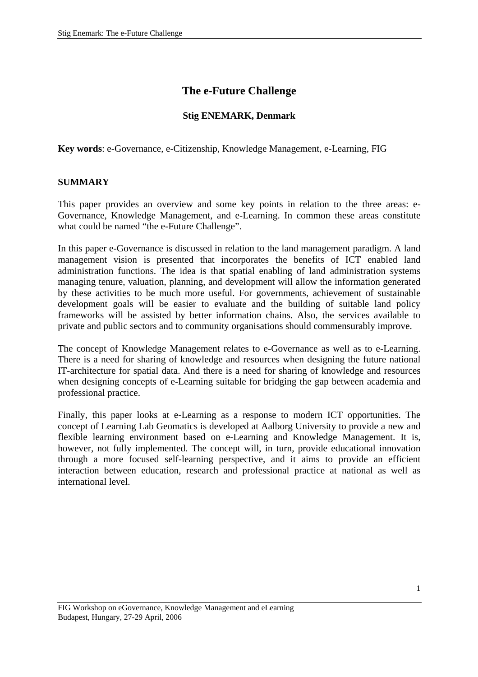# **The e-Future Challenge**

#### **Stig ENEMARK, Denmark**

**Key words**: e-Governance, e-Citizenship, Knowledge Management, e-Learning, FIG

#### **SUMMARY**

This paper provides an overview and some key points in relation to the three areas: e-Governance, Knowledge Management, and e-Learning. In common these areas constitute what could be named "the e-Future Challenge".

In this paper e-Governance is discussed in relation to the land management paradigm. A land management vision is presented that incorporates the benefits of ICT enabled land administration functions. The idea is that spatial enabling of land administration systems managing tenure, valuation, planning, and development will allow the information generated by these activities to be much more useful. For governments, achievement of sustainable development goals will be easier to evaluate and the building of suitable land policy frameworks will be assisted by better information chains. Also, the services available to private and public sectors and to community organisations should commensurably improve.

The concept of Knowledge Management relates to e-Governance as well as to e-Learning. There is a need for sharing of knowledge and resources when designing the future national IT-architecture for spatial data. And there is a need for sharing of knowledge and resources when designing concepts of e-Learning suitable for bridging the gap between academia and professional practice.

Finally, this paper looks at e-Learning as a response to modern ICT opportunities. The concept of Learning Lab Geomatics is developed at Aalborg University to provide a new and flexible learning environment based on e-Learning and Knowledge Management. It is, however, not fully implemented. The concept will, in turn, provide educational innovation through a more focused self-learning perspective, and it aims to provide an efficient interaction between education, research and professional practice at national as well as international level.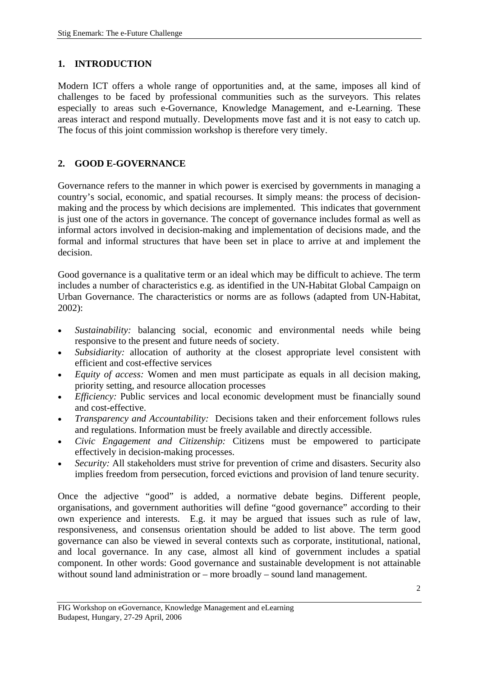## **1. INTRODUCTION**

Modern ICT offers a whole range of opportunities and, at the same, imposes all kind of challenges to be faced by professional communities such as the surveyors. This relates especially to areas such e-Governance, Knowledge Management, and e-Learning. These areas interact and respond mutually. Developments move fast and it is not easy to catch up. The focus of this joint commission workshop is therefore very timely.

## **2. GOOD E-GOVERNANCE**

Governance refers to the manner in which power is exercised by governments in managing a country's social, economic, and spatial recourses. It simply means: the process of decisionmaking and the process by which decisions are implemented. This indicates that government is just one of the actors in governance. The concept of governance includes formal as well as informal actors involved in decision-making and implementation of decisions made, and the formal and informal structures that have been set in place to arrive at and implement the decision.

Good governance is a qualitative term or an ideal which may be difficult to achieve. The term includes a number of characteristics e.g. as identified in the UN-Habitat Global Campaign on Urban Governance. The characteristics or norms are as follows (adapted from UN-Habitat, 2002):

- *Sustainability:* balancing social, economic and environmental needs while being responsive to the present and future needs of society.
- *Subsidiarity:* allocation of authority at the closest appropriate level consistent with efficient and cost-effective services
- *Equity of access:* Women and men must participate as equals in all decision making, priority setting, and resource allocation processes
- *Efficiency:* Public services and local economic development must be financially sound and cost-effective.
- *Transparency and Accountability:* Decisions taken and their enforcement follows rules and regulations. Information must be freely available and directly accessible.
- *Civic Engagement and Citizenship:* Citizens must be empowered to participate effectively in decision-making processes.
- *Security:* All stakeholders must strive for prevention of crime and disasters. Security also implies freedom from persecution, forced evictions and provision of land tenure security.

Once the adjective "good" is added, a normative debate begins. Different people, organisations, and government authorities will define "good governance" according to their own experience and interests. E.g. it may be argued that issues such as rule of law, responsiveness, and consensus orientation should be added to list above. The term good governance can also be viewed in several contexts such as corporate, institutional, national, and local governance. In any case, almost all kind of government includes a spatial component. In other words: Good governance and sustainable development is not attainable without sound land administration or – more broadly – sound land management.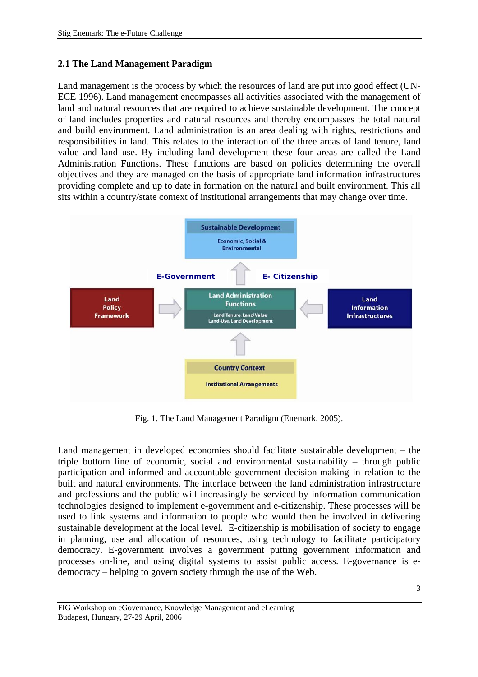### **2.1 The Land Management Paradigm**

Land management is the process by which the resources of land are put into good effect (UN-ECE 1996). Land management encompasses all activities associated with the management of land and natural resources that are required to achieve sustainable development. The concept of land includes properties and natural resources and thereby encompasses the total natural and build environment. Land administration is an area dealing with rights, restrictions and responsibilities in land. This relates to the interaction of the three areas of land tenure, land value and land use. By including land development these four areas are called the Land Administration Functions. These functions are based on policies determining the overall objectives and they are managed on the basis of appropriate land information infrastructures providing complete and up to date in formation on the natural and built environment. This all sits within a country/state context of institutional arrangements that may change over time.



Fig. 1. The Land Management Paradigm (Enemark, 2005).

Land management in developed economies should facilitate sustainable development – the triple bottom line of economic, social and environmental sustainability – through public participation and informed and accountable government decision-making in relation to the built and natural environments. The interface between the land administration infrastructure and professions and the public will increasingly be serviced by information communication technologies designed to implement e-government and e-citizenship. These processes will be used to link systems and information to people who would then be involved in delivering sustainable development at the local level. E-citizenship is mobilisation of society to engage in planning, use and allocation of resources, using technology to facilitate participatory democracy. E-government involves a government putting government information and processes on-line, and using digital systems to assist public access. E-governance is edemocracy – helping to govern society through the use of the Web.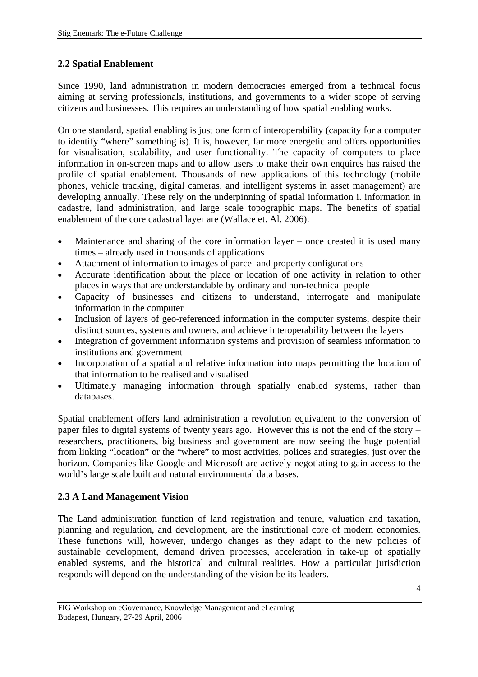## **2.2 Spatial Enablement**

Since 1990, land administration in modern democracies emerged from a technical focus aiming at serving professionals, institutions, and governments to a wider scope of serving citizens and businesses. This requires an understanding of how spatial enabling works.

On one standard, spatial enabling is just one form of interoperability (capacity for a computer to identify "where" something is). It is, however, far more energetic and offers opportunities for visualisation, scalability, and user functionality. The capacity of computers to place information in on-screen maps and to allow users to make their own enquires has raised the profile of spatial enablement. Thousands of new applications of this technology (mobile phones, vehicle tracking, digital cameras, and intelligent systems in asset management) are developing annually. These rely on the underpinning of spatial information i. information in cadastre, land administration, and large scale topographic maps. The benefits of spatial enablement of the core cadastral layer are (Wallace et. Al. 2006):

- Maintenance and sharing of the core information layer once created it is used many times – already used in thousands of applications
- Attachment of information to images of parcel and property configurations
- Accurate identification about the place or location of one activity in relation to other places in ways that are understandable by ordinary and non-technical people
- Capacity of businesses and citizens to understand, interrogate and manipulate information in the computer
- Inclusion of layers of geo-referenced information in the computer systems, despite their distinct sources, systems and owners, and achieve interoperability between the layers
- Integration of government information systems and provision of seamless information to institutions and government
- Incorporation of a spatial and relative information into maps permitting the location of that information to be realised and visualised
- Ultimately managing information through spatially enabled systems, rather than databases.

Spatial enablement offers land administration a revolution equivalent to the conversion of paper files to digital systems of twenty years ago. However this is not the end of the story – researchers, practitioners, big business and government are now seeing the huge potential from linking "location" or the "where" to most activities, polices and strategies, just over the horizon. Companies like Google and Microsoft are actively negotiating to gain access to the world's large scale built and natural environmental data bases.

# **2.3 A Land Management Vision**

The Land administration function of land registration and tenure, valuation and taxation, planning and regulation, and development, are the institutional core of modern economies. These functions will, however, undergo changes as they adapt to the new policies of sustainable development, demand driven processes, acceleration in take-up of spatially enabled systems, and the historical and cultural realities. How a particular jurisdiction responds will depend on the understanding of the vision be its leaders.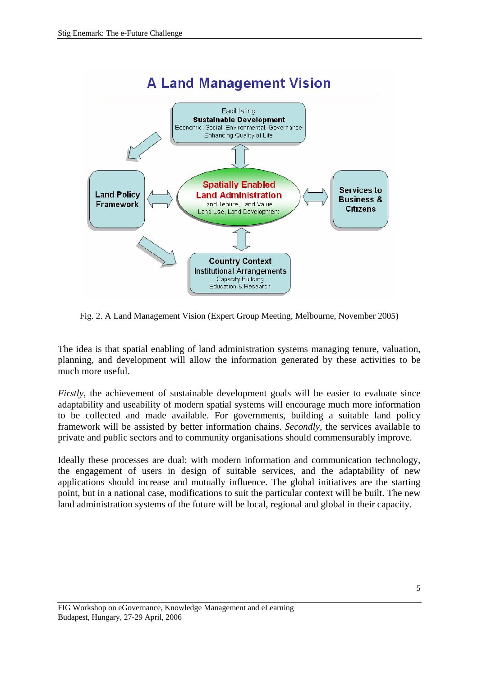

Fig. 2. A Land Management Vision (Expert Group Meeting, Melbourne, November 2005)

The idea is that spatial enabling of land administration systems managing tenure, valuation, planning, and development will allow the information generated by these activities to be much more useful.

*Firstly*, the achievement of sustainable development goals will be easier to evaluate since adaptability and useability of modern spatial systems will encourage much more information to be collected and made available. For governments, building a suitable land policy framework will be assisted by better information chains. *Secondly,* the services available to private and public sectors and to community organisations should commensurably improve.

Ideally these processes are dual: with modern information and communication technology, the engagement of users in design of suitable services, and the adaptability of new applications should increase and mutually influence. The global initiatives are the starting point, but in a national case, modifications to suit the particular context will be built. The new land administration systems of the future will be local, regional and global in their capacity.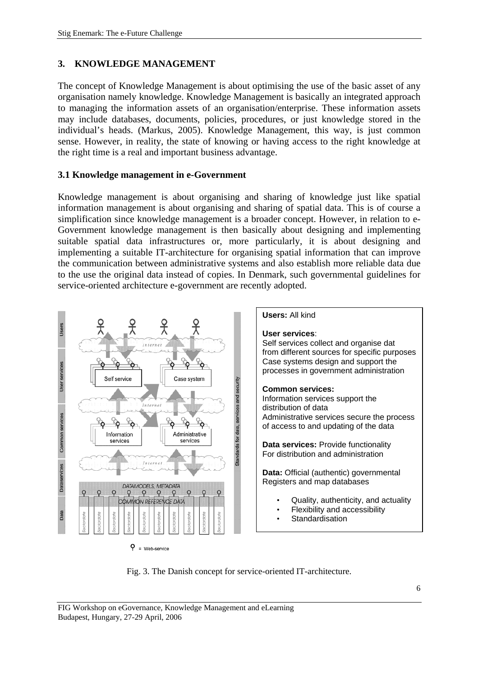## **3. KNOWLEDGE MANAGEMENT**

The concept of Knowledge Management is about optimising the use of the basic asset of any organisation namely knowledge. Knowledge Management is basically an integrated approach to managing the information assets of an organisation/enterprise. These information assets may include databases, documents, policies, procedures, or just knowledge stored in the individual's heads. (Markus, 2005). Knowledge Management, this way, is just common sense. However, in reality, the state of knowing or having access to the right knowledge at the right time is a real and important business advantage.

#### **3.1 Knowledge management in e-Government**

Knowledge management is about organising and sharing of knowledge just like spatial information management is about organising and sharing of spatial data. This is of course a simplification since knowledge management is a broader concept. However, in relation to e-Government knowledge management is then basically about designing and implementing suitable spatial data infrastructures or, more particularly, it is about designing and implementing a suitable IT-architecture for organising spatial information that can improve the communication between administrative systems and also establish more reliable data due to the use the original data instead of copies. In Denmark, such governmental guidelines for service-oriented architecture e-government are recently adopted.



Fig. 3. The Danish concept for service-oriented IT-architecture.

FIG Workshop on eGovernance, Knowledge Management and eLearning Budapest, Hungary, 27-29 April, 2006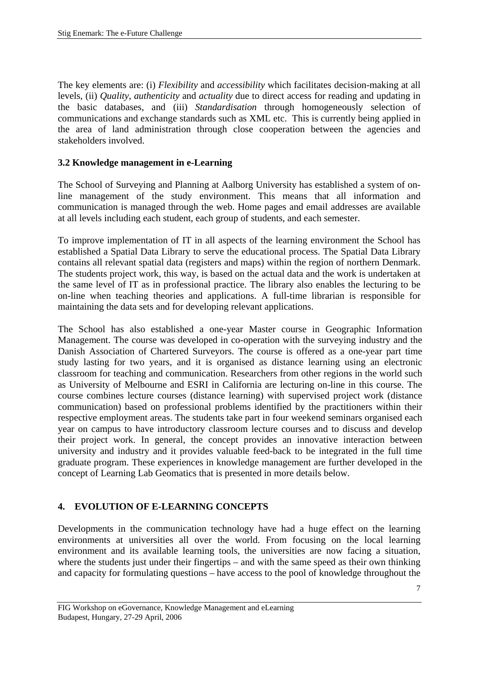The key elements are: (i) *Flexibility* and *accessibility* which facilitates decision-making at all levels, (ii) *Quality*, *authenticity* and *actuality* due to direct access for reading and updating in the basic databases, and (iii) *Standardisation* through homogeneously selection of communications and exchange standards such as XML etc. This is currently being applied in the area of land administration through close cooperation between the agencies and stakeholders involved.

#### **3.2 Knowledge management in e-Learning**

The School of Surveying and Planning at Aalborg University has established a system of online management of the study environment. This means that all information and communication is managed through the web. Home pages and email addresses are available at all levels including each student, each group of students, and each semester.

To improve implementation of IT in all aspects of the learning environment the School has established a Spatial Data Library to serve the educational process. The Spatial Data Library contains all relevant spatial data (registers and maps) within the region of northern Denmark. The students project work, this way, is based on the actual data and the work is undertaken at the same level of IT as in professional practice. The library also enables the lecturing to be on-line when teaching theories and applications. A full-time librarian is responsible for maintaining the data sets and for developing relevant applications.

The School has also established a one-year Master course in Geographic Information Management. The course was developed in co-operation with the surveying industry and the Danish Association of Chartered Surveyors. The course is offered as a one-year part time study lasting for two years, and it is organised as distance learning using an electronic classroom for teaching and communication. Researchers from other regions in the world such as University of Melbourne and ESRI in California are lecturing on-line in this course. The course combines lecture courses (distance learning) with supervised project work (distance communication) based on professional problems identified by the practitioners within their respective employment areas. The students take part in four weekend seminars organised each year on campus to have introductory classroom lecture courses and to discuss and develop their project work. In general, the concept provides an innovative interaction between university and industry and it provides valuable feed-back to be integrated in the full time graduate program. These experiences in knowledge management are further developed in the concept of Learning Lab Geomatics that is presented in more details below.

#### **4. EVOLUTION OF E-LEARNING CONCEPTS**

Developments in the communication technology have had a huge effect on the learning environments at universities all over the world. From focusing on the local learning environment and its available learning tools, the universities are now facing a situation, where the students just under their fingertips – and with the same speed as their own thinking and capacity for formulating questions – have access to the pool of knowledge throughout the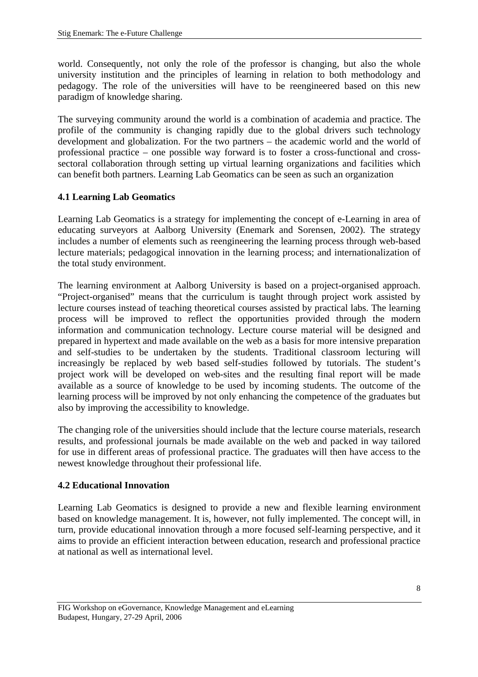world. Consequently, not only the role of the professor is changing, but also the whole university institution and the principles of learning in relation to both methodology and pedagogy. The role of the universities will have to be reengineered based on this new paradigm of knowledge sharing.

The surveying community around the world is a combination of academia and practice. The profile of the community is changing rapidly due to the global drivers such technology development and globalization. For the two partners – the academic world and the world of professional practice – one possible way forward is to foster a cross-functional and crosssectoral collaboration through setting up virtual learning organizations and facilities which can benefit both partners. Learning Lab Geomatics can be seen as such an organization

#### **4.1 Learning Lab Geomatics**

Learning Lab Geomatics is a strategy for implementing the concept of e-Learning in area of educating surveyors at Aalborg University (Enemark and Sorensen, 2002). The strategy includes a number of elements such as reengineering the learning process through web-based lecture materials; pedagogical innovation in the learning process; and internationalization of the total study environment.

The learning environment at Aalborg University is based on a project-organised approach. "Project-organised" means that the curriculum is taught through project work assisted by lecture courses instead of teaching theoretical courses assisted by practical labs. The learning process will be improved to reflect the opportunities provided through the modern information and communication technology. Lecture course material will be designed and prepared in hypertext and made available on the web as a basis for more intensive preparation and self-studies to be undertaken by the students. Traditional classroom lecturing will increasingly be replaced by web based self-studies followed by tutorials. The student's project work will be developed on web-sites and the resulting final report will be made available as a source of knowledge to be used by incoming students. The outcome of the learning process will be improved by not only enhancing the competence of the graduates but also by improving the accessibility to knowledge.

The changing role of the universities should include that the lecture course materials, research results, and professional journals be made available on the web and packed in way tailored for use in different areas of professional practice. The graduates will then have access to the newest knowledge throughout their professional life.

#### **4.2 Educational Innovation**

Learning Lab Geomatics is designed to provide a new and flexible learning environment based on knowledge management. It is, however, not fully implemented. The concept will, in turn, provide educational innovation through a more focused self-learning perspective, and it aims to provide an efficient interaction between education, research and professional practice at national as well as international level.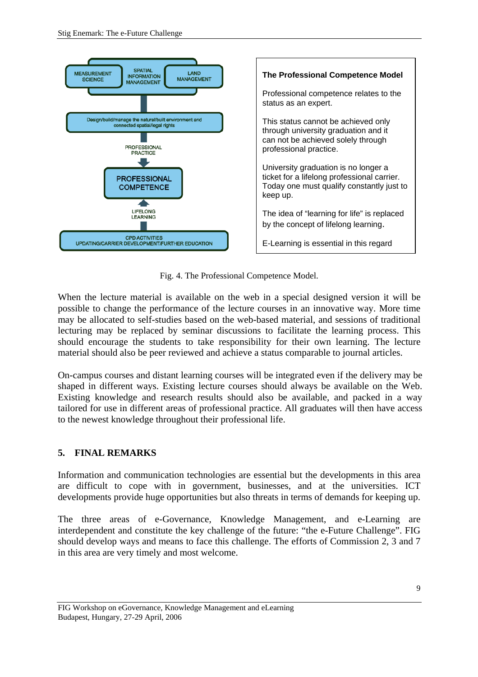

Fig. 4. The Professional Competence Model.

When the lecture material is available on the web in a special designed version it will be possible to change the performance of the lecture courses in an innovative way. More time may be allocated to self-studies based on the web-based material, and sessions of traditional lecturing may be replaced by seminar discussions to facilitate the learning process. This should encourage the students to take responsibility for their own learning. The lecture material should also be peer reviewed and achieve a status comparable to journal articles.

On-campus courses and distant learning courses will be integrated even if the delivery may be shaped in different ways. Existing lecture courses should always be available on the Web. Existing knowledge and research results should also be available, and packed in a way tailored for use in different areas of professional practice. All graduates will then have access to the newest knowledge throughout their professional life.

## **5. FINAL REMARKS**

Information and communication technologies are essential but the developments in this area are difficult to cope with in government, businesses, and at the universities. ICT developments provide huge opportunities but also threats in terms of demands for keeping up.

The three areas of e-Governance, Knowledge Management, and e-Learning are interdependent and constitute the key challenge of the future: "the e-Future Challenge". FIG should develop ways and means to face this challenge. The efforts of Commission 2, 3 and 7 in this area are very timely and most welcome.